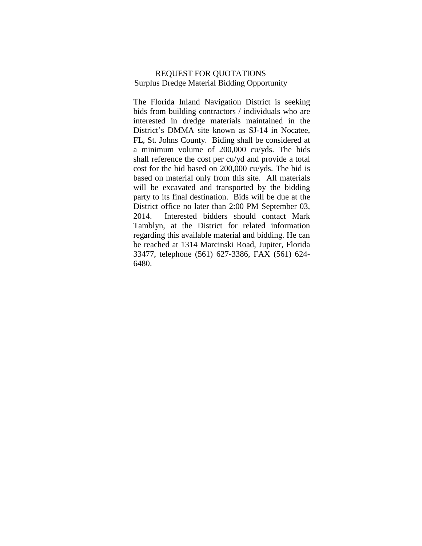#### REQUEST FOR QUOTATIONS Surplus Dredge Material Bidding Opportunity

The Florida Inland Navigation District is seeking bids from building contractors / individuals who are interested in dredge materials maintained in the District's DMMA site known as SJ-14 in Nocatee, FL, St. Johns County. Biding shall be considered at a minimum volume of 200,000 cu/yds. The bids shall reference the cost per cu/yd and provide a total cost for the bid based on 200,000 cu/yds. The bid is based on material only from this site. All materials will be excavated and transported by the bidding party to its final destination. Bids will be due at the District office no later than 2:00 PM September 03, 2014. Interested bidders should contact Mark Tamblyn, at the District for related information regarding this available material and bidding. He can be reached at 1314 Marcinski Road, Jupiter, Florida 33477, telephone (561) 627-3386, FAX (561) 624- 6480.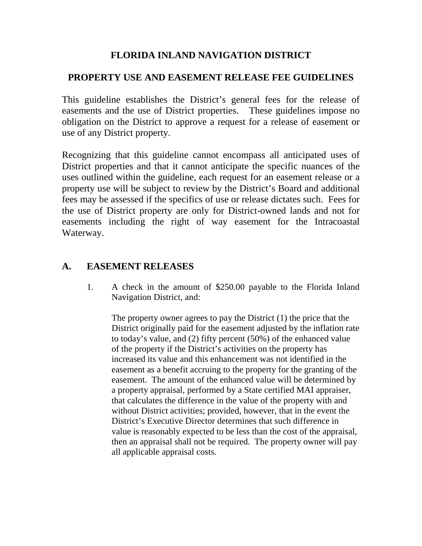# **FLORIDA INLAND NAVIGATION DISTRICT**

# **PROPERTY USE AND EASEMENT RELEASE FEE GUIDELINES**

This guideline establishes the District's general fees for the release of easements and the use of District properties. These guidelines impose no obligation on the District to approve a request for a release of easement or use of any District property.

Recognizing that this guideline cannot encompass all anticipated uses of District properties and that it cannot anticipate the specific nuances of the uses outlined within the guideline, each request for an easement release or a property use will be subject to review by the District's Board and additional fees may be assessed if the specifics of use or release dictates such. Fees for the use of District property are only for District*-*owned lands and not for easements including the right of way easement for the Intracoastal Waterway.

# **A. EASEMENT RELEASES**

1. A check in the amount of \$250.00 payable to the Florida Inland Navigation District, and:

The property owner agrees to pay the District (1) the price that the District originally paid for the easement adjusted by the inflation rate to today's value, and (2) fifty percent (50%) of the enhanced value of the property if the District's activities on the property has increased its value and this enhancement was not identified in the easement as a benefit accruing to the property for the granting of the easement. The amount of the enhanced value will be determined by a property appraisal, performed by a State certified MAI appraiser, that calculates the difference in the value of the property with and without District activities; provided, however, that in the event the District's Executive Director determines that such difference in value is reasonably expected to be less than the cost of the appraisal, then an appraisal shall not be required. The property owner will pay all applicable appraisal costs.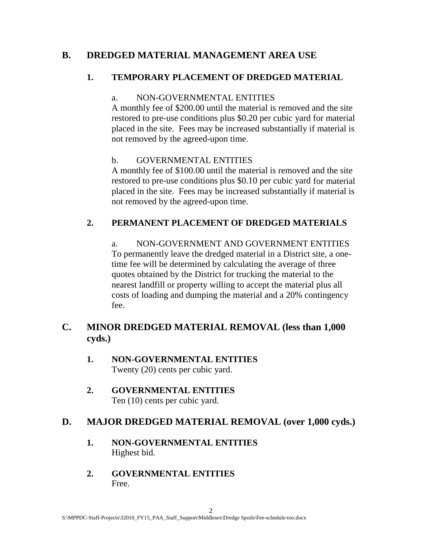# **B. DREDGED MATERIAL MANAGEMENT AREA USE**

## **1. TEMPORARY PLACEMENT OF DREDGED MATERIAL**

### a. NON-GOVERNMENTAL ENTITIES

A monthly fee of \$200.00 until the material is removed and the site restored to pre-use conditions plus \$0.20 per cubic yard for material placed in the site. Fees may be increased substantially if material is not removed by the agreed-upon time.

### b. GOVERNMENTAL ENTITIES

A monthly fee of \$100.00 until the material is removed and the site restored to pre-use conditions plus \$0.10 per cubic yard for material placed in the site. Fees may be increased substantially if material is not removed by the agreed-upon time.

# **2. PERMANENT PLACEMENT OF DREDGED MATERIALS**

a. NON-GOVERNMENT AND GOVERNMENT ENTITIES To permanently leave the dredged material in a District site, a onetime fee will be determined by calculating the average of three quotes obtained by the District for trucking the material to the nearest landfill or property willing to accept the material plus all costs of loading and dumping the material and a 20% contingency fee.

# **C. MINOR DREDGED MATERIAL REMOVAL (less than 1,000 cyds.)**

- **1. NON-GOVERNMENTAL ENTITIES** Twenty (20) cents per cubic yard.
- **2. GOVERNMENTAL ENTITIES** Ten (10) cents per cubic yard.

# **D. MAJOR DREDGED MATERIAL REMOVAL (over 1,000 cyds.)**

- **1. NON-GOVERNMENTAL ENTITIES** Highest bid.
- **2. GOVERNMENTAL ENTITIES** Free.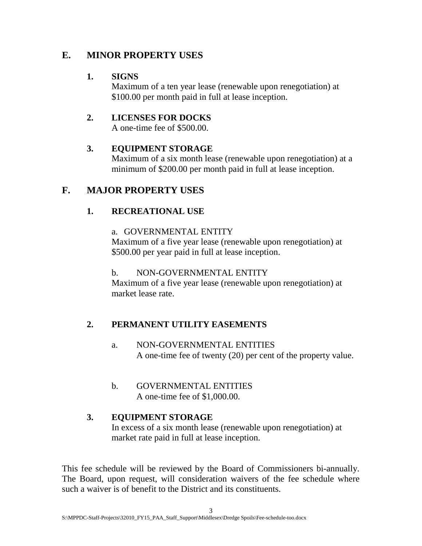# **E. MINOR PROPERTY USES**

## **1. SIGNS**

Maximum of a ten year lease (renewable upon renegotiation) at \$100.00 per month paid in full at lease inception.

### **2. LICENSES FOR DOCKS**

A one-time fee of \$500.00.

# **3. EQUIPMENT STORAGE**

Maximum of a six month lease (renewable upon renegotiation) at a minimum of \$200.00 per month paid in full at lease inception.

# **F. MAJOR PROPERTY USES**

# **1. RECREATIONAL USE**

### a. GOVERNMENTAL ENTITY

Maximum of a five year lease (renewable upon renegotiation) at \$500.00 per year paid in full at lease inception.

### b. NON-GOVERNMENTAL ENTITY

Maximum of a five year lease (renewable upon renegotiation) at market lease rate.

# **2. PERMANENT UTILITY EASEMENTS**

- a. NON-GOVERNMENTAL ENTITIES A one-time fee of twenty (20) per cent of the property value.
- b. GOVERNMENTAL ENTITIES A one-time fee of \$1,000.00.

### **3. EQUIPMENT STORAGE** In excess of a six month lease (renewable upon renegotiation) at market rate paid in full at lease inception.

This fee schedule will be reviewed by the Board of Commissioners bi-annually. The Board, upon request, will consideration waivers of the fee schedule where such a waiver is of benefit to the District and its constituents.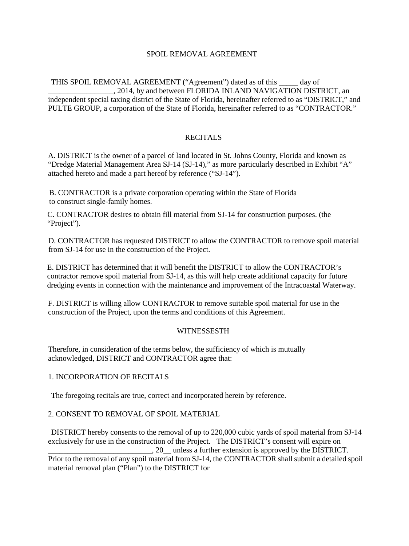#### SPOIL REMOVAL AGREEMENT

THIS SPOIL REMOVAL AGREEMENT ("Agreement") dated as of this \_\_\_\_\_ day of \_\_\_\_\_\_\_\_\_\_\_\_\_\_\_\_\_, 2014, by and between FLORIDA INLAND NAVIGATION DISTRICT, an independent special taxing district of the State of Florida, hereinafter referred to as "DISTRICT," and PULTE GROUP, a corporation of the State of Florida, hereinafter referred to as "CONTRACTOR."

#### RECITALS

A. DISTRICT is the owner of a parcel of land located in St. Johns County, Florida and known as "Dredge Material Management Area SJ-14 (SJ-14)," as more particularly described in Exhibit "A" attached hereto and made a part hereof by reference ("SJ-14").

B. CONTRACTOR is a private corporation operating within the State of Florida to construct single-family homes.

C. CONTRACTOR desires to obtain fill material from SJ-14 for construction purposes. (the "Project").

D. CONTRACTOR has requested DISTRICT to allow the CONTRACTOR to remove spoil material from SJ-14 for use in the construction of the Project.

E. DISTRICT has determined that it will benefit the DISTRICT to allow the CONTRACTOR's contractor remove spoil material from SJ-14, as this will help create additional capacity for future dredging events in connection with the maintenance and improvement of the Intracoastal Waterway.

F. DISTRICT is willing allow CONTRACTOR to remove suitable spoil material for use in the construction of the Project, upon the terms and conditions of this Agreement.

#### WITNESSESTH

Therefore, in consideration of the terms below, the sufficiency of which is mutually acknowledged, DISTRICT and CONTRACTOR agree that:

#### 1. INCORPORATION OF RECITALS

The foregoing recitals are true, correct and incorporated herein by reference.

#### 2. CONSENT TO REMOVAL OF SPOIL MATERIAL

DISTRICT hereby consents to the removal of up to 220,000 cubic yards of spoil material from SJ-14 exclusively for use in the construction of the Project. The DISTRICT's consent will expire on  $\Box$ , 20 unless a further extension is approved by the DISTRICT. Prior to the removal of any spoil material from SJ-14, the CONTRACTOR shall submit a detailed spoil material removal plan ("Plan") to the DISTRICT for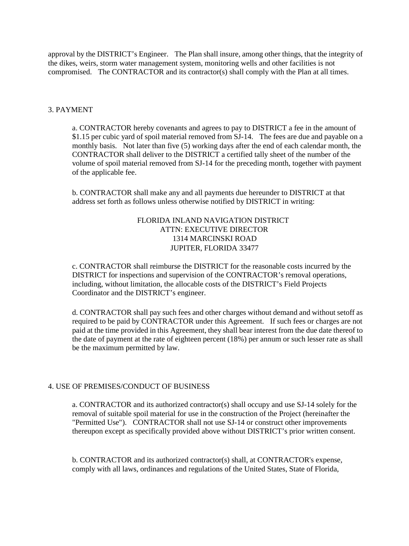approval by the DISTRICT's Engineer. The Plan shall insure, among other things, that the integrity of the dikes, weirs, storm water management system, monitoring wells and other facilities is not compromised. The CONTRACTOR and its contractor(s) shall comply with the Plan at all times.

#### 3. PAYMENT

a. CONTRACTOR hereby covenants and agrees to pay to DISTRICT a fee in the amount of \$1.15 per cubic yard of spoil material removed from SJ-14. The fees are due and payable on a monthly basis. Not later than five (5) working days after the end of each calendar month, the CONTRACTOR shall deliver to the DISTRICT a certified tally sheet of the number of the volume of spoil material removed from SJ-14 for the preceding month, together with payment of the applicable fee.

b. CONTRACTOR shall make any and all payments due hereunder to DISTRICT at that address set forth as follows unless otherwise notified by DISTRICT in writing:

#### FLORIDA INLAND NAVIGATION DISTRICT ATTN: EXECUTIVE DIRECTOR 1314 MARCINSKI ROAD JUPITER, FLORIDA 33477

c. CONTRACTOR shall reimburse the DISTRICT for the reasonable costs incurred by the DISTRICT for inspections and supervision of the CONTRACTOR's removal operations, including, without limitation, the allocable costs of the DISTRICT's Field Projects Coordinator and the DISTRICT's engineer.

d. CONTRACTOR shall pay such fees and other charges without demand and without setoff as required to be paid by CONTRACTOR under this Agreement. If such fees or charges are not paid at the time provided in this Agreement, they shall bear interest from the due date thereof to the date of payment at the rate of eighteen percent (18%) per annum or such lesser rate as shall be the maximum permitted by law.

#### 4. USE OF PREMISES/CONDUCT OF BUSINESS

a. CONTRACTOR and its authorized contractor(s) shall occupy and use SJ-14 solely for the removal of suitable spoil material for use in the construction of the Project (hereinafter the "Permitted Use"). CONTRACTOR shall not use SJ-14 or construct other improvements thereupon except as specifically provided above without DISTRICT's prior written consent.

b. CONTRACTOR and its authorized contractor(s) shall, at CONTRACTOR's expense, comply with all laws, ordinances and regulations of the United States, State of Florida,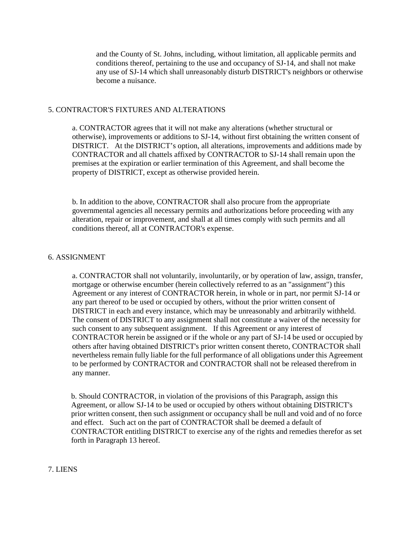and the County of St. Johns, including, without limitation, all applicable permits and conditions thereof, pertaining to the use and occupancy of SJ-14, and shall not make any use of SJ-14 which shall unreasonably disturb DISTRICT's neighbors or otherwise become a nuisance.

#### 5. CONTRACTOR'S FIXTURES AND ALTERATIONS

a. CONTRACTOR agrees that it will not make any alterations (whether structural or otherwise), improvements or additions to SJ-14, without first obtaining the written consent of DISTRICT. At the DISTRICT's option, all alterations, improvements and additions made by CONTRACTOR and all chattels affixed by CONTRACTOR to SJ-14 shall remain upon the premises at the expiration or earlier termination of this Agreement, and shall become the property of DISTRICT, except as otherwise provided herein.

b. In addition to the above, CONTRACTOR shall also procure from the appropriate governmental agencies all necessary permits and authorizations before proceeding with any alteration, repair or improvement, and shall at all times comply with such permits and all conditions thereof, all at CONTRACTOR's expense.

#### 6. ASSIGNMENT

a. CONTRACTOR shall not voluntarily, involuntarily, or by operation of law, assign, transfer, mortgage or otherwise encumber (herein collectively referred to as an "assignment") this Agreement or any interest of CONTRACTOR herein, in whole or in part, nor permit SJ-14 or any part thereof to be used or occupied by others, without the prior written consent of DISTRICT in each and every instance, which may be unreasonably and arbitrarily withheld. The consent of DISTRICT to any assignment shall not constitute a waiver of the necessity for such consent to any subsequent assignment. If this Agreement or any interest of CONTRACTOR herein be assigned or if the whole or any part of SJ-14 be used or occupied by others after having obtained DISTRICT's prior written consent thereto, CONTRACTOR shall nevertheless remain fully liable for the full performance of all obligations under this Agreement to be performed by CONTRACTOR and CONTRACTOR shall not be released therefrom in any manner.

b. Should CONTRACTOR, in violation of the provisions of this Paragraph, assign this Agreement, or allow SJ-14 to be used or occupied by others without obtaining DISTRICT's prior written consent, then such assignment or occupancy shall be null and void and of no force and effect. Such act on the part of CONTRACTOR shall be deemed a default of CONTRACTOR entitling DISTRICT to exercise any of the rights and remedies therefor as set forth in Paragraph 13 hereof.

#### 7. LIENS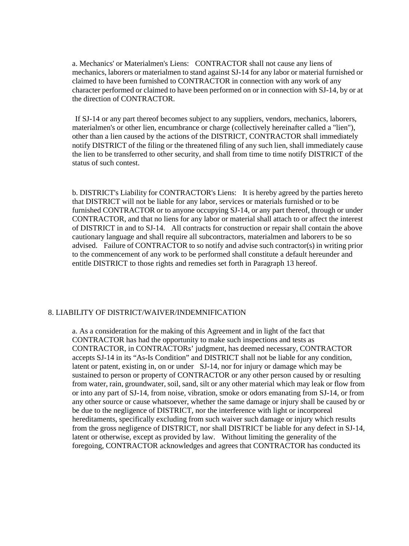a. Mechanics' or Materialmen's Liens: CONTRACTOR shall not cause any liens of mechanics, laborers or materialmen to stand against SJ-14 for any labor or material furnished or claimed to have been furnished to CONTRACTOR in connection with any work of any character performed or claimed to have been performed on or in connection with SJ-14, by or at the direction of CONTRACTOR.

If SJ-14 or any part thereof becomes subject to any suppliers, vendors, mechanics, laborers, materialmen's or other lien, encumbrance or charge (collectively hereinafter called a "lien"), other than a lien caused by the actions of the DISTRICT, CONTRACTOR shall immediately notify DISTRICT of the filing or the threatened filing of any such lien, shall immediately cause the lien to be transferred to other security, and shall from time to time notify DISTRICT of the status of such contest.

b. DISTRICT's Liability for CONTRACTOR's Liens: It is hereby agreed by the parties hereto that DISTRICT will not be liable for any labor, services or materials furnished or to be furnished CONTRACTOR or to anyone occupying SJ-14, or any part thereof, through or under CONTRACTOR, and that no liens for any labor or material shall attach to or affect the interest of DISTRICT in and to SJ-14. All contracts for construction or repair shall contain the above cautionary language and shall require all subcontractors, materialmen and laborers to be so advised. Failure of CONTRACTOR to so notify and advise such contractor(s) in writing prior to the commencement of any work to be performed shall constitute a default hereunder and entitle DISTRICT to those rights and remedies set forth in Paragraph 13 hereof.

#### 8. LIABILITY OF DISTRICT/WAIVER/INDEMNIFICATION

a. As a consideration for the making of this Agreement and in light of the fact that CONTRACTOR has had the opportunity to make such inspections and tests as CONTRACTOR, in CONTRACTORs' judgment, has deemed necessary, CONTRACTOR accepts SJ-14 in its "As-Is Condition" and DISTRICT shall not be liable for any condition, latent or patent, existing in, on or under SJ-14, nor for injury or damage which may be sustained to person or property of CONTRACTOR or any other person caused by or resulting from water, rain, groundwater, soil, sand, silt or any other material which may leak or flow from or into any part of SJ-14, from noise, vibration, smoke or odors emanating from SJ-14, or from any other source or cause whatsoever, whether the same damage or injury shall be caused by or be due to the negligence of DISTRICT, nor the interference with light or incorporeal hereditaments, specifically excluding from such waiver such damage or injury which results from the gross negligence of DISTRICT, nor shall DISTRICT be liable for any defect in SJ-14, latent or otherwise, except as provided by law. Without limiting the generality of the foregoing, CONTRACTOR acknowledges and agrees that CONTRACTOR has conducted its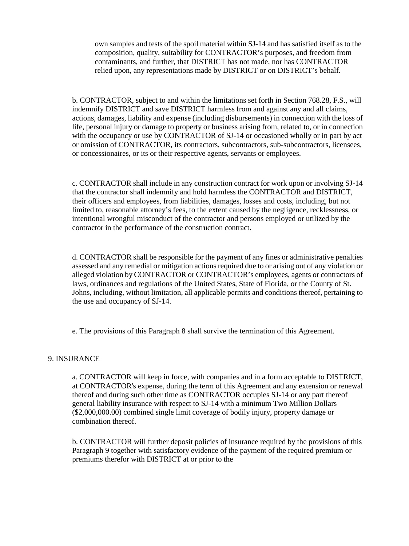own samples and tests of the spoil material within SJ-14 and has satisfied itself as to the composition, quality, suitability for CONTRACTOR's purposes, and freedom from contaminants, and further, that DISTRICT has not made, nor has CONTRACTOR relied upon, any representations made by DISTRICT or on DISTRICT's behalf.

b. CONTRACTOR, subject to and within the limitations set forth in Section 768.28, F.S., will indemnify DISTRICT and save DISTRICT harmless from and against any and all claims, actions, damages, liability and expense (including disbursements) in connection with the loss of life, personal injury or damage to property or business arising from, related to, or in connection with the occupancy or use by CONTRACTOR of SJ-14 or occasioned wholly or in part by act or omission of CONTRACTOR, its contractors, subcontractors, sub-subcontractors, licensees, or concessionaires, or its or their respective agents, servants or employees.

c. CONTRACTOR shall include in any construction contract for work upon or involving SJ-14 that the contractor shall indemnify and hold harmless the CONTRACTOR and DISTRICT, their officers and employees, from liabilities, damages, losses and costs, including, but not limited to, reasonable attorney's fees, to the extent caused by the negligence, recklessness, or intentional wrongful misconduct of the contractor and persons employed or utilized by the contractor in the performance of the construction contract.

d. CONTRACTOR shall be responsible for the payment of any fines or administrative penalties assessed and any remedial or mitigation actions required due to or arising out of any violation or alleged violation by CONTRACTOR or CONTRACTOR's employees, agents or contractors of laws, ordinances and regulations of the United States, State of Florida, or the County of St. Johns, including, without limitation, all applicable permits and conditions thereof, pertaining to the use and occupancy of SJ-14.

e. The provisions of this Paragraph 8 shall survive the termination of this Agreement.

#### 9. INSURANCE

a. CONTRACTOR will keep in force, with companies and in a form acceptable to DISTRICT, at CONTRACTOR's expense, during the term of this Agreement and any extension or renewal thereof and during such other time as CONTRACTOR occupies SJ-14 or any part thereof general liability insurance with respect to SJ-14 with a minimum Two Million Dollars (\$2,000,000.00) combined single limit coverage of bodily injury, property damage or combination thereof.

b. CONTRACTOR will further deposit policies of insurance required by the provisions of this Paragraph 9 together with satisfactory evidence of the payment of the required premium or premiums therefor with DISTRICT at or prior to the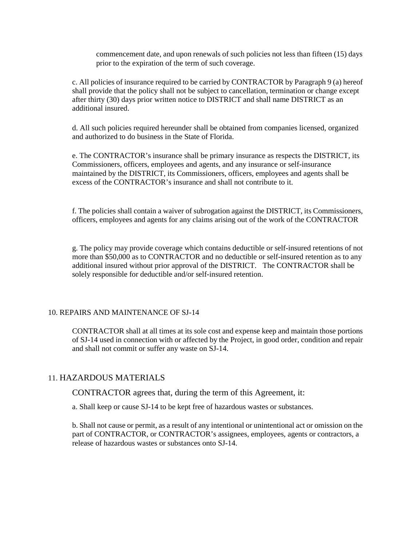commencement date, and upon renewals of such policies not less than fifteen (15) days prior to the expiration of the term of such coverage.

c. All policies of insurance required to be carried by CONTRACTOR by Paragraph 9 (a) hereof shall provide that the policy shall not be subject to cancellation, termination or change except after thirty (30) days prior written notice to DISTRICT and shall name DISTRICT as an additional insured.

d. All such policies required hereunder shall be obtained from companies licensed, organized and authorized to do business in the State of Florida.

e. The CONTRACTOR's insurance shall be primary insurance as respects the DISTRICT, its Commissioners, officers, employees and agents, and any insurance or self-insurance maintained by the DISTRICT, its Commissioners, officers, employees and agents shall be excess of the CONTRACTOR's insurance and shall not contribute to it.

f. The policies shall contain a waiver of subrogation against the DISTRICT, its Commissioners, officers, employees and agents for any claims arising out of the work of the CONTRACTOR

g. The policy may provide coverage which contains deductible or self-insured retentions of not more than \$50,000 as to CONTRACTOR and no deductible or self-insured retention as to any additional insured without prior approval of the DISTRICT. The CONTRACTOR shall be solely responsible for deductible and/or self-insured retention.

#### 10. REPAIRS AND MAINTENANCE OF SJ-14

CONTRACTOR shall at all times at its sole cost and expense keep and maintain those portions of SJ-14 used in connection with or affected by the Project, in good order, condition and repair and shall not commit or suffer any waste on SJ-14.

#### 11. HAZARDOUS MATERIALS

CONTRACTOR agrees that, during the term of this Agreement, it:

a. Shall keep or cause SJ-14 to be kept free of hazardous wastes or substances.

b. Shall not cause or permit, as a result of any intentional or unintentional act or omission on the part of CONTRACTOR, or CONTRACTOR's assignees, employees, agents or contractors, a release of hazardous wastes or substances onto SJ-14.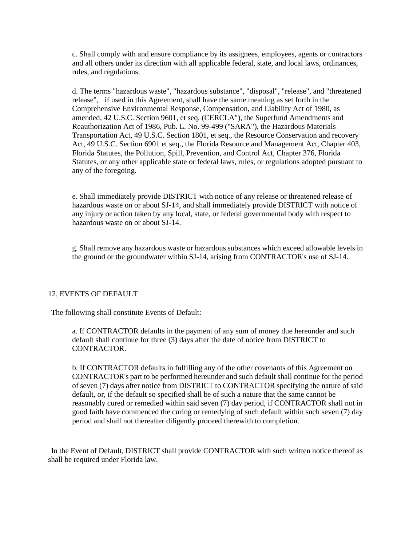c. Shall comply with and ensure compliance by its assignees, employees, agents or contractors and all others under its direction with all applicable federal, state, and local laws, ordinances, rules, and regulations.

d. The terms "hazardous waste", "hazardous substance", "disposal", "release", and "threatened release", if used in this Agreement, shall have the same meaning as set forth in the Comprehensive Environmental Response, Compensation, and Liability Act of 1980, as amended, 42 U.S.C. Section 9601, et seq. (CERCLA"), the Superfund Amendments and Reauthorization Act of 1986, Pub. L. No. 99-499 ("SARA"), the Hazardous Materials Transportation Act, 49 U.S.C. Section 1801, et seq., the Resource Conservation and recovery Act, 49 U.S.C. Section 6901 et seq., the Florida Resource and Management Act, Chapter 403, Florida Statutes, the Pollution, Spill, Prevention, and Control Act, Chapter 376, Florida Statutes, or any other applicable state or federal laws, rules, or regulations adopted pursuant to any of the foregoing.

e. Shall immediately provide DISTRICT with notice of any release or threatened release of hazardous waste on or about SJ-14, and shall immediately provide DISTRICT with notice of any injury or action taken by any local, state, or federal governmental body with respect to hazardous waste on or about SJ-14.

g. Shall remove any hazardous waste or hazardous substances which exceed allowable levels in the ground or the groundwater within SJ-14, arising from CONTRACTOR's use of SJ-14.

#### 12. EVENTS OF DEFAULT

The following shall constitute Events of Default:

a. If CONTRACTOR defaults in the payment of any sum of money due hereunder and such default shall continue for three (3) days after the date of notice from DISTRICT to CONTRACTOR.

b. If CONTRACTOR defaults in fulfilling any of the other covenants of this Agreement on CONTRACTOR's part to be performed hereunder and such default shall continue for the period of seven (7) days after notice from DISTRICT to CONTRACTOR specifying the nature of said default, or, if the default so specified shall be of such a nature that the same cannot be reasonably cured or remedied within said seven (7) day period, if CONTRACTOR shall not in good faith have commenced the curing or remedying of such default within such seven (7) day period and shall not thereafter diligently proceed therewith to completion.

In the Event of Default, DISTRICT shall provide CONTRACTOR with such written notice thereof as shall be required under Florida law.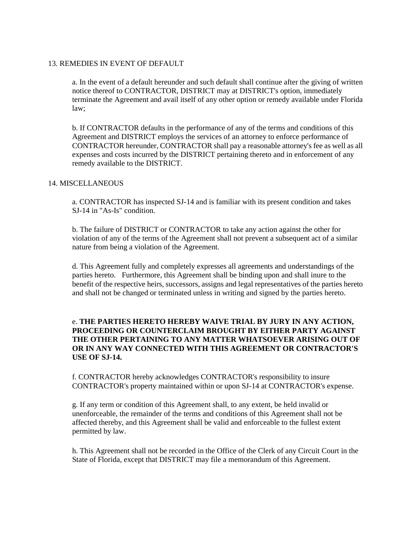#### 13. REMEDIES IN EVENT OF DEFAULT

a. In the event of a default hereunder and such default shall continue after the giving of written notice thereof to CONTRACTOR, DISTRICT may at DISTRICT's option, immediately terminate the Agreement and avail itself of any other option or remedy available under Florida law;

b. If CONTRACTOR defaults in the performance of any of the terms and conditions of this Agreement and DISTRICT employs the services of an attorney to enforce performance of CONTRACTOR hereunder, CONTRACTOR shall pay a reasonable attorney's fee as well as all expenses and costs incurred by the DISTRICT pertaining thereto and in enforcement of any remedy available to the DISTRICT.

#### 14. MISCELLANEOUS

a. CONTRACTOR has inspected SJ-14 and is familiar with its present condition and takes SJ-14 in "As-Is" condition.

b. The failure of DISTRICT or CONTRACTOR to take any action against the other for violation of any of the terms of the Agreement shall not prevent a subsequent act of a similar nature from being a violation of the Agreement.

d. This Agreement fully and completely expresses all agreements and understandings of the parties hereto. Furthermore, this Agreement shall be binding upon and shall inure to the benefit of the respective heirs, successors, assigns and legal representatives of the parties hereto and shall not be changed or terminated unless in writing and signed by the parties hereto.

#### e. **THE PARTIES HERETO HEREBY WAIVE TRIAL BY JURY IN ANY ACTION, PROCEEDING OR COUNTERCLAIM BROUGHT BY EITHER PARTY AGAINST THE OTHER PERTAINING TO ANY MATTER WHATSOEVER ARISING OUT OF OR IN ANY WAY CONNECTED WITH THIS AGREEMENT OR CONTRACTOR'S USE OF SJ-14.**

f. CONTRACTOR hereby acknowledges CONTRACTOR's responsibility to insure CONTRACTOR's property maintained within or upon SJ-14 at CONTRACTOR's expense.

g. If any term or condition of this Agreement shall, to any extent, be held invalid or unenforceable, the remainder of the terms and conditions of this Agreement shall not be affected thereby, and this Agreement shall be valid and enforceable to the fullest extent permitted by law.

h. This Agreement shall not be recorded in the Office of the Clerk of any Circuit Court in the State of Florida, except that DISTRICT may file a memorandum of this Agreement.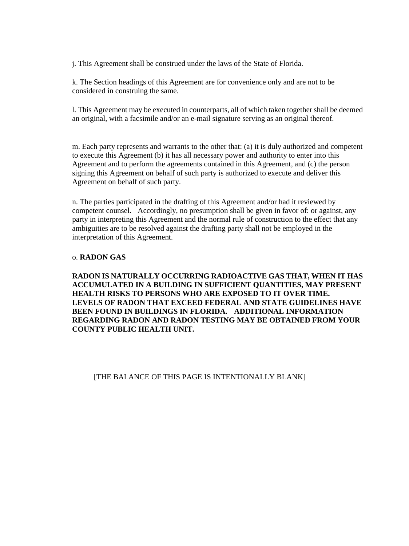j. This Agreement shall be construed under the laws of the State of Florida.

k. The Section headings of this Agreement are for convenience only and are not to be considered in construing the same.

l. This Agreement may be executed in counterparts, all of which taken together shall be deemed an original, with a facsimile and/or an e-mail signature serving as an original thereof.

m. Each party represents and warrants to the other that: (a) it is duly authorized and competent to execute this Agreement (b) it has all necessary power and authority to enter into this Agreement and to perform the agreements contained in this Agreement, and (c) the person signing this Agreement on behalf of such party is authorized to execute and deliver this Agreement on behalf of such party.

n. The parties participated in the drafting of this Agreement and/or had it reviewed by competent counsel. Accordingly, no presumption shall be given in favor of: or against, any party in interpreting this Agreement and the normal rule of construction to the effect that any ambiguities are to be resolved against the drafting party shall not be employed in the interpretation of this Agreement.

#### o. **RADON GAS**

**RADON IS NATURALLY OCCURRING RADIOACTIVE GAS THAT, WHEN IT HAS ACCUMULATED IN A BUILDING IN SUFFICIENT QUANTITIES, MAY PRESENT HEALTH RISKS TO PERSONS WHO ARE EXPOSED TO IT OVER TIME. LEVELS OF RADON THAT EXCEED FEDERAL AND STATE GUIDELINES HAVE BEEN FOUND IN BUILDINGS IN FLORIDA. ADDITIONAL INFORMATION REGARDING RADON AND RADON TESTING MAY BE OBTAINED FROM YOUR COUNTY PUBLIC HEALTH UNIT.**

[THE BALANCE OF THIS PAGE IS INTENTIONALLY BLANK]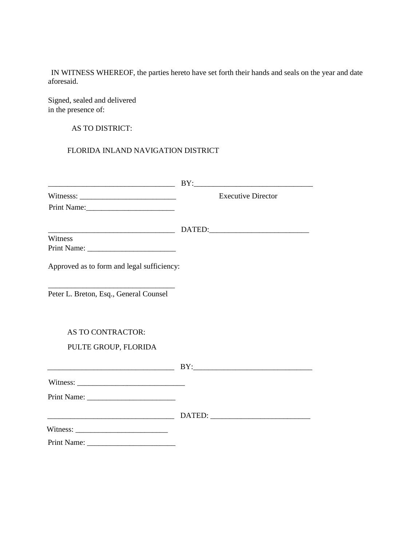IN WITNESS WHEREOF, the parties hereto have set forth their hands and seals on the year and date aforesaid.

Signed, sealed and delivered in the presence of:

AS TO DISTRICT:

FLORIDA INLAND NAVIGATION DISTRICT

| Witnesss: $\frac{1}{\sqrt{1-\frac{1}{2}} \cdot \frac{1}{2}}$<br>Print Name: | <b>Executive Director</b> |
|-----------------------------------------------------------------------------|---------------------------|
|                                                                             |                           |
| Witness                                                                     |                           |
| Approved as to form and legal sufficiency:                                  |                           |
| Peter L. Breton, Esq., General Counsel                                      |                           |
| <b>AS TO CONTRACTOR:</b>                                                    |                           |
| PULTE GROUP, FLORIDA                                                        |                           |
|                                                                             |                           |
|                                                                             |                           |
|                                                                             |                           |
|                                                                             |                           |
|                                                                             |                           |
|                                                                             |                           |